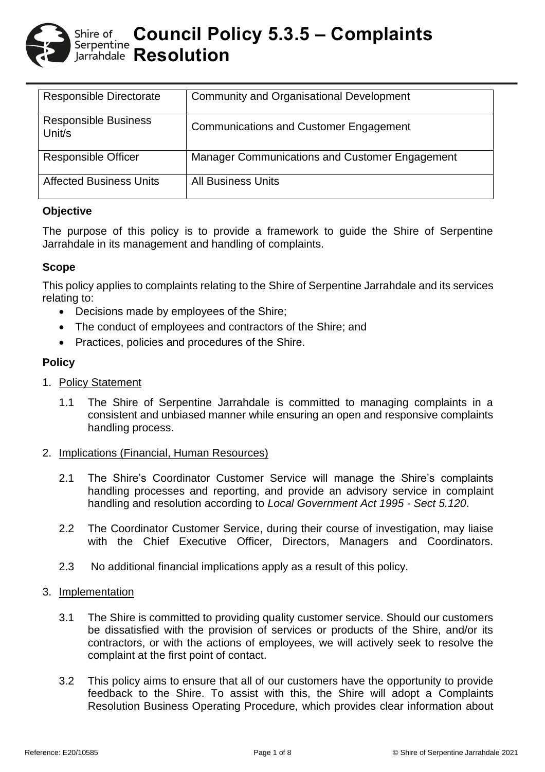

| <b>Responsible Directorate</b>        | <b>Community and Organisational Development</b>       |
|---------------------------------------|-------------------------------------------------------|
| <b>Responsible Business</b><br>Unit/s | <b>Communications and Customer Engagement</b>         |
| <b>Responsible Officer</b>            | <b>Manager Communications and Customer Engagement</b> |
| <b>Affected Business Units</b>        | <b>All Business Units</b>                             |

### **Objective**

The purpose of this policy is to provide a framework to guide the Shire of Serpentine Jarrahdale in its management and handling of complaints.

### **Scope**

This policy applies to complaints relating to the Shire of Serpentine Jarrahdale and its services relating to:

- Decisions made by employees of the Shire;
- The conduct of employees and contractors of the Shire; and
- Practices, policies and procedures of the Shire.

## **Policy**

- 1. Policy Statement
	- 1.1 The Shire of Serpentine Jarrahdale is committed to managing complaints in a consistent and unbiased manner while ensuring an open and responsive complaints handling process.

### 2. Implications (Financial, Human Resources)

- 2.1 The Shire's Coordinator Customer Service will manage the Shire's complaints handling processes and reporting, and provide an advisory service in complaint handling and resolution according to *Local Government Act 1995 - Sect 5.120*.
- 2.2 The Coordinator Customer Service, during their course of investigation, may liaise with the Chief Executive Officer, Directors, Managers and Coordinators.
- 2.3 No additional financial implications apply as a result of this policy.

### 3. Implementation

- 3.1 The Shire is committed to providing quality customer service. Should our customers be dissatisfied with the provision of services or products of the Shire, and/or its contractors, or with the actions of employees, we will actively seek to resolve the complaint at the first point of contact.
- 3.2 This policy aims to ensure that all of our customers have the opportunity to provide feedback to the Shire. To assist with this, the Shire will adopt a Complaints Resolution Business Operating Procedure, which provides clear information about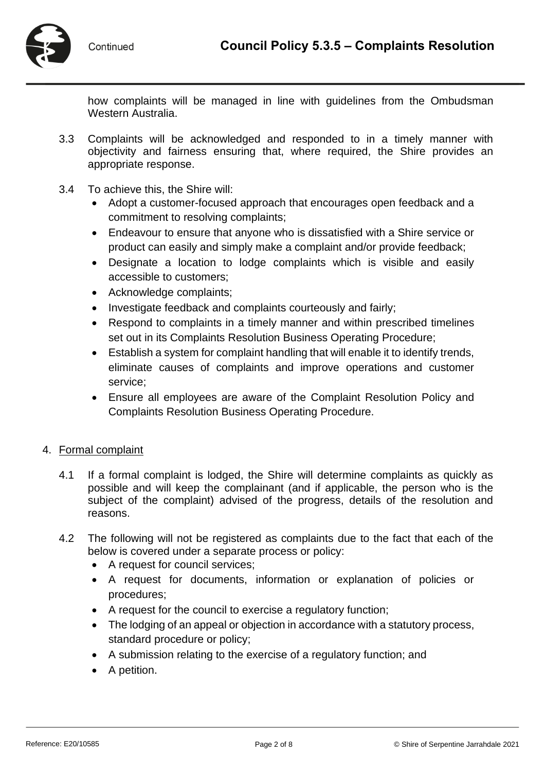

how complaints will be managed in line with guidelines from the Ombudsman Western Australia.

- 3.3 Complaints will be acknowledged and responded to in a timely manner with objectivity and fairness ensuring that, where required, the Shire provides an appropriate response.
- 3.4 To achieve this, the Shire will:
	- Adopt a customer-focused approach that encourages open feedback and a commitment to resolving complaints;
	- Endeavour to ensure that anyone who is dissatisfied with a Shire service or product can easily and simply make a complaint and/or provide feedback;
	- Designate a location to lodge complaints which is visible and easily accessible to customers;
	- Acknowledge complaints;
	- Investigate feedback and complaints courteously and fairly;
	- Respond to complaints in a timely manner and within prescribed timelines set out in its Complaints Resolution Business Operating Procedure;
	- Establish a system for complaint handling that will enable it to identify trends, eliminate causes of complaints and improve operations and customer service;
	- Ensure all employees are aware of the Complaint Resolution Policy and Complaints Resolution Business Operating Procedure.

# 4. Formal complaint

- 4.1 If a formal complaint is lodged, the Shire will determine complaints as quickly as possible and will keep the complainant (and if applicable, the person who is the subject of the complaint) advised of the progress, details of the resolution and reasons.
- 4.2 The following will not be registered as complaints due to the fact that each of the below is covered under a separate process or policy:
	- A request for council services;
	- A request for documents, information or explanation of policies or procedures;
	- A request for the council to exercise a regulatory function;
	- The lodging of an appeal or objection in accordance with a statutory process, standard procedure or policy;
	- A submission relating to the exercise of a regulatory function; and
	- A petition.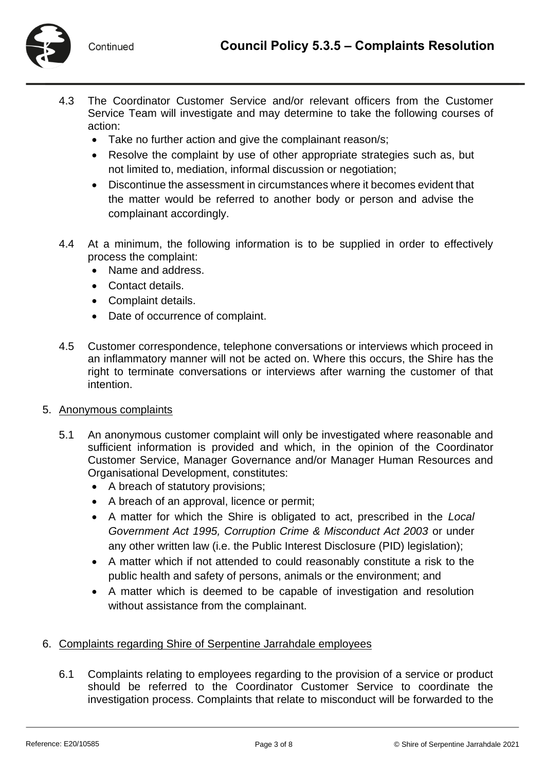

- 4.3 The Coordinator Customer Service and/or relevant officers from the Customer Service Team will investigate and may determine to take the following courses of action:
	- Take no further action and give the complainant reason/s;
	- Resolve the complaint by use of other appropriate strategies such as, but not limited to, mediation, informal discussion or negotiation;
	- Discontinue the assessment in circumstances where it becomes evident that the matter would be referred to another body or person and advise the complainant accordingly.
- 4.4 At a minimum, the following information is to be supplied in order to effectively process the complaint:
	- Name and address.
	- Contact details.
	- Complaint details.
	- Date of occurrence of complaint.
- 4.5 Customer correspondence, telephone conversations or interviews which proceed in an inflammatory manner will not be acted on. Where this occurs, the Shire has the right to terminate conversations or interviews after warning the customer of that intention.

### 5. Anonymous complaints

- 5.1 An anonymous customer complaint will only be investigated where reasonable and sufficient information is provided and which, in the opinion of the Coordinator Customer Service, Manager Governance and/or Manager Human Resources and Organisational Development, constitutes:
	- A breach of statutory provisions;
	- A breach of an approval, licence or permit;
	- A matter for which the Shire is obligated to act, prescribed in the *Local Government Act 1995, Corruption Crime & Misconduct Act 2003* or under any other written law (i.e. the Public Interest Disclosure (PID) legislation);
	- A matter which if not attended to could reasonably constitute a risk to the public health and safety of persons, animals or the environment; and
	- A matter which is deemed to be capable of investigation and resolution without assistance from the complainant.

### 6. Complaints regarding Shire of Serpentine Jarrahdale employees

6.1 Complaints relating to employees regarding to the provision of a service or product should be referred to the Coordinator Customer Service to coordinate the investigation process. Complaints that relate to misconduct will be forwarded to the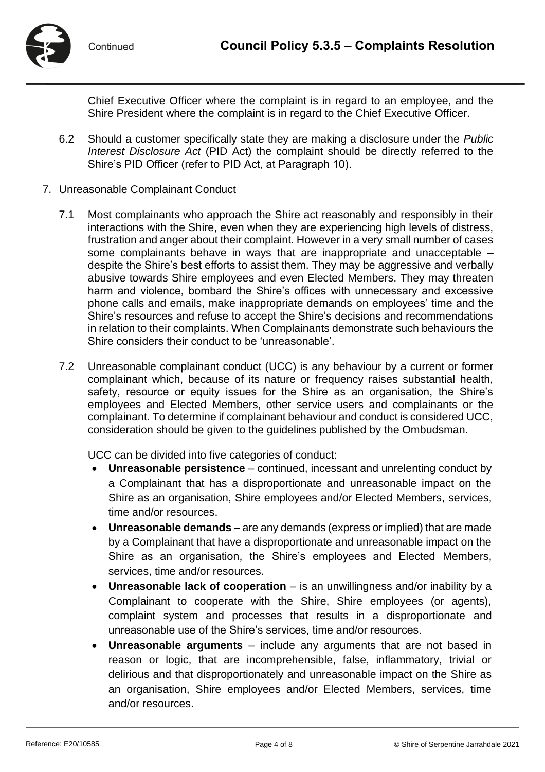

Chief Executive Officer where the complaint is in regard to an employee, and the Shire President where the complaint is in regard to the Chief Executive Officer.

6.2 Should a customer specifically state they are making a disclosure under the *Public Interest Disclosure Act* (PID Act) the complaint should be directly referred to the Shire's PID Officer (refer to PID Act, at Paragraph 10).

## 7. Unreasonable Complainant Conduct

- 7.1 Most complainants who approach the Shire act reasonably and responsibly in their interactions with the Shire, even when they are experiencing high levels of distress, frustration and anger about their complaint. However in a very small number of cases some complainants behave in ways that are inappropriate and unacceptable – despite the Shire's best efforts to assist them. They may be aggressive and verbally abusive towards Shire employees and even Elected Members. They may threaten harm and violence, bombard the Shire's offices with unnecessary and excessive phone calls and emails, make inappropriate demands on employees' time and the Shire's resources and refuse to accept the Shire's decisions and recommendations in relation to their complaints. When Complainants demonstrate such behaviours the Shire considers their conduct to be 'unreasonable'.
- 7.2 Unreasonable complainant conduct (UCC) is any behaviour by a current or former complainant which, because of its nature or frequency raises substantial health, safety, resource or equity issues for the Shire as an organisation, the Shire's employees and Elected Members, other service users and complainants or the complainant. To determine if complainant behaviour and conduct is considered UCC, consideration should be given to the guidelines published by the Ombudsman.

UCC can be divided into five categories of conduct:

- **Unreasonable persistence**  continued, incessant and unrelenting conduct by a Complainant that has a disproportionate and unreasonable impact on the Shire as an organisation, Shire employees and/or Elected Members, services, time and/or resources.
- **Unreasonable demands**  are any demands (express or implied) that are made by a Complainant that have a disproportionate and unreasonable impact on the Shire as an organisation, the Shire's employees and Elected Members, services, time and/or resources.
- **Unreasonable lack of cooperation**  is an unwillingness and/or inability by a Complainant to cooperate with the Shire, Shire employees (or agents), complaint system and processes that results in a disproportionate and unreasonable use of the Shire's services, time and/or resources.
- **Unreasonable arguments**  include any arguments that are not based in reason or logic, that are incomprehensible, false, inflammatory, trivial or delirious and that disproportionately and unreasonable impact on the Shire as an organisation, Shire employees and/or Elected Members, services, time and/or resources.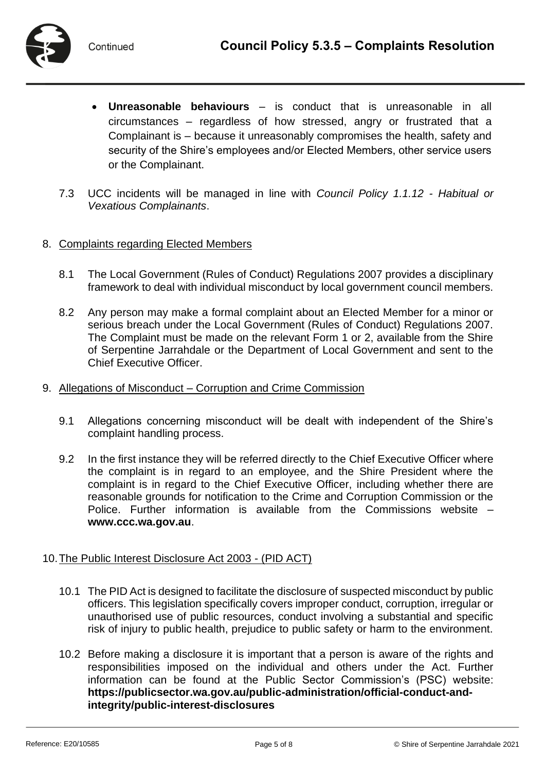

- **Unreasonable behaviours**  is conduct that is unreasonable in all circumstances – regardless of how stressed, angry or frustrated that a Complainant is – because it unreasonably compromises the health, safety and security of the Shire's employees and/or Elected Members, other service users or the Complainant.
- 7.3 UCC incidents will be managed in line with *Council Policy 1.1.12 - Habitual or Vexatious Complainants*.

### 8. Complaints regarding Elected Members

- 8.1 The Local Government (Rules of Conduct) Regulations 2007 provides a disciplinary framework to deal with individual misconduct by local government council members.
- 8.2 Any person may make a formal complaint about an Elected Member for a minor or serious breach under the Local Government (Rules of Conduct) Regulations 2007. The Complaint must be made on the relevant Form 1 or 2, available from the Shire of Serpentine Jarrahdale or the Department of Local Government and sent to the Chief Executive Officer.
- 9. Allegations of Misconduct Corruption and Crime Commission
	- 9.1 Allegations concerning misconduct will be dealt with independent of the Shire's complaint handling process.
	- 9.2 In the first instance they will be referred directly to the Chief Executive Officer where the complaint is in regard to an employee, and the Shire President where the complaint is in regard to the Chief Executive Officer, including whether there are reasonable grounds for notification to the Crime and Corruption Commission or the Police. Further information is available from the Commissions website – **[www.ccc.wa.gov.au](http://www.ccc.wa.gov.au/)**.

### 10.The Public Interest Disclosure Act 2003 - (PID ACT)

- 10.1 The PID Act is designed to facilitate the disclosure of suspected misconduct by public officers. This legislation specifically covers improper conduct, corruption, irregular or unauthorised use of public resources, conduct involving a substantial and specific risk of injury to public health, prejudice to public safety or harm to the environment.
- 10.2 Before making a disclosure it is important that a person is aware of the rights and responsibilities imposed on the individual and others under the Act. Further information can be found at the Public Sector Commission's (PSC) website: **[https://publicsector.wa.gov.au/public-administration/official-conduct-and](https://publicsector.wa.gov.au/public-administration/official-conduct-and-integrity/public-interest-disclosures)[integrity/public-interest-disclosures](https://publicsector.wa.gov.au/public-administration/official-conduct-and-integrity/public-interest-disclosures)**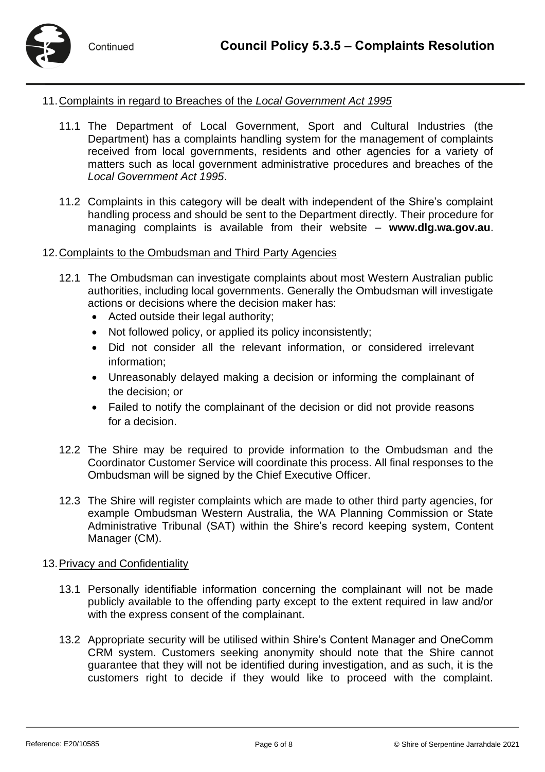

## 11.Complaints in regard to Breaches of the *Local Government Act 1995*

- 11.1 The Department of Local Government, Sport and Cultural Industries (the Department) has a complaints handling system for the management of complaints received from local governments, residents and other agencies for a variety of matters such as local government administrative procedures and breaches of the *Local Government Act 1995*.
- 11.2 Complaints in this category will be dealt with independent of the Shire's complaint handling process and should be sent to the Department directly. Their procedure for managing complaints is available from their website – **[www.dlg.wa.gov.au](http://www.dlg.wa.gov.au/)**.

### 12.Complaints to the Ombudsman and Third Party Agencies

- 12.1 The Ombudsman can investigate complaints about most Western Australian public authorities, including local governments. Generally the Ombudsman will investigate actions or decisions where the decision maker has:
	- Acted outside their legal authority:
	- Not followed policy, or applied its policy inconsistently;
	- Did not consider all the relevant information, or considered irrelevant information;
	- Unreasonably delayed making a decision or informing the complainant of the decision; or
	- Failed to notify the complainant of the decision or did not provide reasons for a decision.
- 12.2 The Shire may be required to provide information to the Ombudsman and the Coordinator Customer Service will coordinate this process. All final responses to the Ombudsman will be signed by the Chief Executive Officer.
- 12.3 The Shire will register complaints which are made to other third party agencies, for example Ombudsman Western Australia, the WA Planning Commission or State Administrative Tribunal (SAT) within the Shire's record keeping system, Content Manager (CM).

### 13.Privacy and Confidentiality

- 13.1 Personally identifiable information concerning the complainant will not be made publicly available to the offending party except to the extent required in law and/or with the express consent of the complainant.
- 13.2 Appropriate security will be utilised within Shire's Content Manager and OneComm CRM system. Customers seeking anonymity should note that the Shire cannot guarantee that they will not be identified during investigation, and as such, it is the customers right to decide if they would like to proceed with the complaint.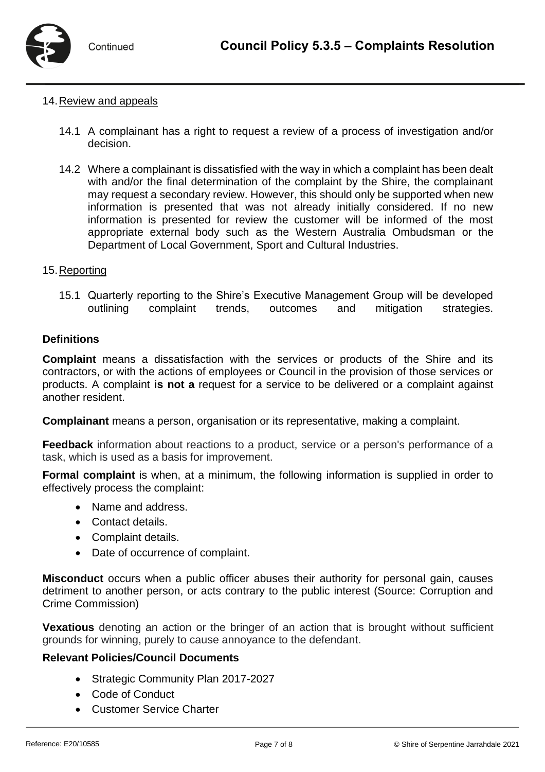

#### 14.Review and appeals

- 14.1 A complainant has a right to request a review of a process of investigation and/or decision.
- 14.2 Where a complainant is dissatisfied with the way in which a complaint has been dealt with and/or the final determination of the complaint by the Shire, the complainant may request a secondary review. However, this should only be supported when new information is presented that was not already initially considered. If no new information is presented for review the customer will be informed of the most appropriate external body such as the Western Australia Ombudsman or the Department of Local Government, Sport and Cultural Industries.

#### 15.Reporting

15.1 Quarterly reporting to the Shire's Executive Management Group will be developed outlining complaint trends, outcomes and mitigation strategies.

#### **Definitions**

**Complaint** means a dissatisfaction with the services or products of the Shire and its contractors, or with the actions of employees or Council in the provision of those services or products. A complaint **is not a** request for a service to be delivered or a complaint against another resident.

**Complainant** means a person, organisation or its representative, making a complaint.

**Feedback** information about reactions to a product, service or a person's performance of a task, which is used as a basis for improvement.

**Formal complaint** is when, at a minimum, the following information is supplied in order to effectively process the complaint:

- Name and address.
- Contact details.
- Complaint details.
- Date of occurrence of complaint.

**Misconduct** occurs when a public officer abuses their authority for personal gain, causes detriment to another person, or acts contrary to the public interest (Source: Corruption and Crime Commission)

**Vexatious** denoting an action or the bringer of an action that is brought without sufficient grounds for winning, purely to cause annoyance to the defendant.

#### **Relevant Policies/Council Documents**

- Strategic Community Plan 2017-2027
- Code of Conduct
- Customer Service Charter